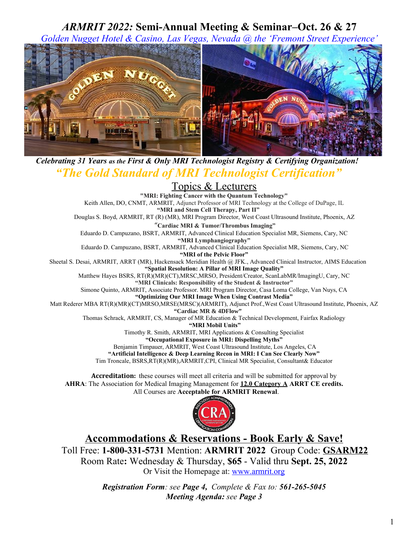## *ARMRIT 2022:* **Semi-Annual Meeting & Seminar–Oct. 26 & 27**

*Golden Nugget Hotel & Casino, Las Vegas, Nevada @ the 'Fremont Street Experience'*



*Celebrating 31 Years as the First & Only MRI Technologist Registry & Certifying Organization! "The Gold Standard of MRI Technologist Certification"*

# Topics & Lecturers

**"MRI: Fighting Cancer with the Quantum Technology"** Keith Allen, DO, CNMT, ARMRIT, Adjunct Professor of MRI Technology at the College of DuPage, IL  **"MRI and Stem Cell Therapy, Part II"** Douglas S. Boyd, ARMRIT, RT (R) (MR), MRI Program Director, West Coast Ultrasound Institute, Phoenix, AZ "**Cardiac MRI & Tumor/Thrombus Imaging"** Eduardo D. Campuzano, BSRT, ARMRIT, Advanced Clinical Education Specialist MR, Siemens, Cary, NC **"MRI Lymphangiography"** Eduardo D. Campuzano, BSRT, ARMRIT, Advanced Clinical Education Specialist MR, Siemens, Cary, NC **"MRI of the Pelvic Floor"** Sheetal S. Desai, ARMRIT, ARRT (MR), Hackensack Meridian Health @ JFK., Advanced Clinical Instructor, AIMS Education **"Spatial Resolution: A Pillar of MRI Image Quality"** Matthew Hayes BSRS, RT(R)(MR)(CT),MRSC,MRSO, President/Creator, ScanLabMR/ImagingU, Cary, NC **"MRI Clinicals: Responsibility of the Student & Instructor"** Simone Quinto, ARMRIT, Associate Professor. MRI Program Director, Casa Loma College, Van Nuys, CA **"Optimizing Our MRI Image When Using Contrast Media"** Matt Rederer MBA RT(R)(MR)(CT)MRSO,MRSE(MRSC)(ARMRIT), Adjunct Prof., West Coast Ultrasound Institute, Phoenix, AZ **"Cardiac MR & 4DFlow"** Thomas Schrack, ARMRIT, CS, Manager of MR Education & Technical Development, Fairfax Radiology  **"MRI Mobil Units"** Timothy R. Smith, ARMRIT, MRI Applications & Consulting Specialist **"Occupational Exposure in MRI: Dispelling Myths"** Benjamin Timpauer, ARMRIT, West Coast Ultrasound Institute, Los Angeles, CA **"Artificial Intelligence & Deep Learning Recon in MRI: I Can See Clearly Now"** Tim Troncale, BSRS,RT(R)(MR),ARMRIT,CPI, Clinical MR Specialist, Consultant& Educator

**Accreditation:** these courses will meet all criteria and will be submitted for approval by AHRA: The Association for Medical Imaging Management for 12.0 Category A ARRT CE credits. All Courses are **Acceptable for ARMRIT Renewal**.



 **Accommodations & Reservations - Book Early & Save!** Re Toll Free: **1-800-331-5731** Mention: **ARMRIT 2022** Group Code: **GSARM22** Room Rate**:** Wednesday & Thursday, **\$65** - Valid thru **Sept. 25, 2022** Or Visit the Homepage at: [www.armrit.org](http://www.armrit.org/)

> *Registration Form: see Page 4, Complete & Fax to: 561-265-5045 Meeting Agenda: see Page 3*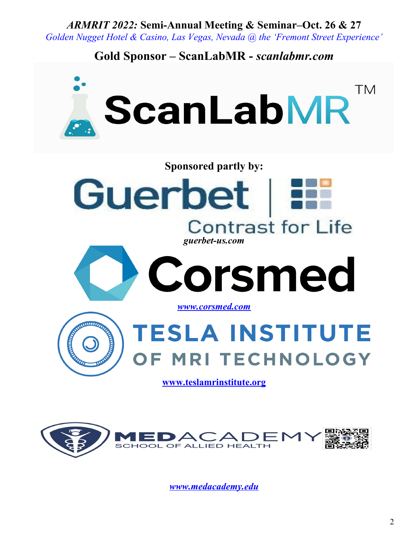*ARMRIT 2022:* **Semi-Annual Meeting & Seminar–Oct. 26 & 27**

*Golden Nugget Hotel & Casino, Las Vegas, Nevada @ the 'Fremont Street Experience'*

# **Gold Sponsor – ScanLabMR -** *scanlabmr.com*





*[www.medacademy.edu](http://www.medacademy.edu/)*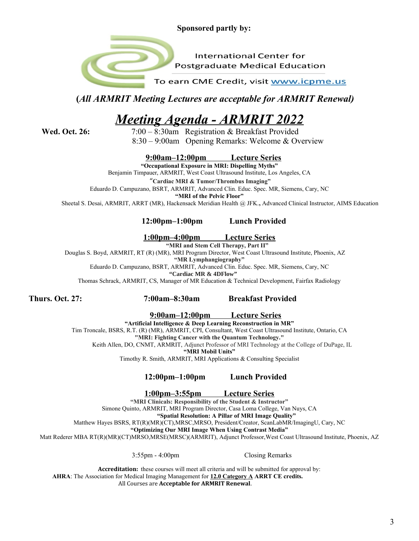**Sponsored partly by:**

**International Center for Postgraduate Medical Education** 

To earn CME Credit, visit www.icpme.us

**(***All ARMRIT Meeting Lectures are acceptable for ARMRIT Renewal)*

# *Meeting Agenda - ARMRIT 2022*

 **Wed. Oct. 26:** 7:00 – 8:30am Registration & Breakfast Provided 8:30 – 9:00am Opening Remarks: Welcome & Overview

**9:00am–12:00pm Lecture Series**

**"Occupational Exposure in MRI: Dispelling Myths"** Benjamin Timpauer, ARMRIT, West Coast Ultrasound Institute, Los Angeles, CA

"**Cardiac MRI & Tumor/Thrombus Imaging"**

Eduardo D. Campuzano, BSRT, ARMRIT, Advanced Clin. Educ. Spec. MR, Siemens, Cary, NC

**"MRI of the Pelvic Floor"**

Sheetal S. Desai, ARMRIT, ARRT (MR), Hackensack Meridian Health @ JFK.**,** Advanced Clinical Instructor, AIMS Education

#### **12:00pm–1:00pm Lunch Provided**

**1:00pm–4:00pm Lecture Series**

 **"MRI and Stem Cell Therapy, Part II"** Douglas S. Boyd, ARMRIT, RT (R) (MR), MRI Program Director, West Coast Ultrasound Institute, Phoenix, AZ

**"MR Lymphangiography"**

Eduardo D. Campuzano, BSRT, ARMRIT, Advanced Clin. Educ. Spec. MR, Siemens, Cary, NC

**"Cardiac MR & 4DFlow"**

Thomas Schrack, ARMRIT, CS, Manager of MR Education & Technical Development, Fairfax Radiology

**Thurs. Oct. 27: 7:00am–8:30am Breakfast Provided**

**9:00am–12:00pm Lecture Series**

**"Artificial Intelligence & Deep Learning Reconstruction in MR"** Tim Troncale, BSRS, R.T. (R) (MR), ARMRIT, CPI, Consultant, West Coast Ultrasound Institute, Ontario, CA **"MRI: Fighting Cancer with the Quantum Technology."** Keith Allen, DO, CNMT, ARMRIT, Adjunct Professor of MRI Technology at the College of DuPage, IL **"MRI Mobil Units"** Timothy R. Smith, ARMRIT, MRI Applications & Consulting Specialist

### **12:00pm–1:00pm Lunch Provided**

**1:00pm–3:55pm Lecture Series**

**"MRI Clinicals: Responsibility of the Student & Instructor"** Simone Quinto, ARMRIT, MRI Program Director, Casa Loma College, Van Nuys, CA **"Spatial Resolution: A Pillar of MRI Image Quality"** Matthew Hayes BSRS, RT(R)(MR)(CT),MRSC,MRSO, President/Creator, ScanLabMR/ImagingU, Cary, NC **"Optimizing Our MRI Image When Using Contrast Media"** Matt Rederer MBA RT(R)(MR)(CT)MRSO,MRSE(MRSC)(ARMRIT), Adjunct Professor,West Coast Ultrasound Institute, Phoenix, AZ

3:55pm - 4:00pm Closing Remarks

**Accreditation:** these courses will meet all criteria and will be submitted for approval by:  **AHRA**: The Association for Medical Imaging Management for **1 2.0 Category A ARRT CE credits.** All Courses are **Acceptable for ARMRIT Renewal**.